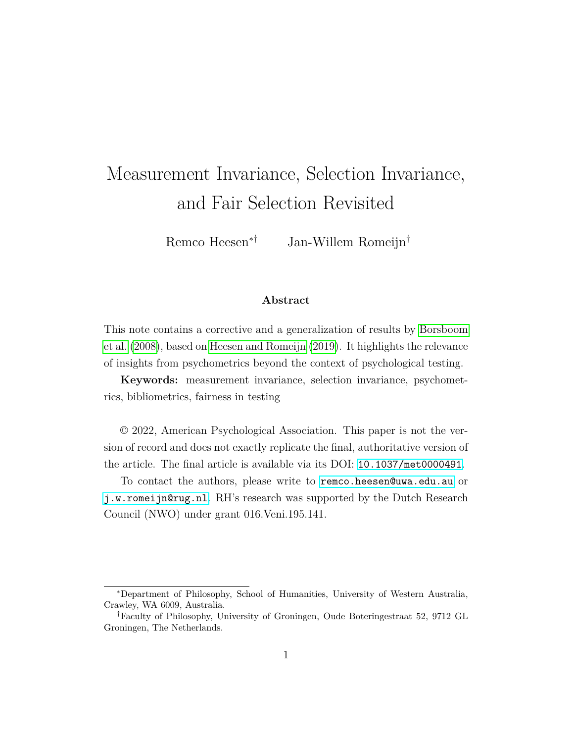# Measurement Invariance, Selection Invariance, and Fair Selection Revisited

Remco Heesen∗† Jan-Willem Romeijn†

#### **Abstract**

This note contains a corrective and a generalization of results by [Borsboom](#page-9-0) [et al.](#page-9-0) [\(2008\)](#page-9-0), based on [Heesen and Romeijn](#page-10-0) [\(2019\)](#page-10-0). It highlights the relevance of insights from psychometrics beyond the context of psychological testing.

**Keywords:** measurement invariance, selection invariance, psychometrics, bibliometrics, fairness in testing

© 2022, American Psychological Association. This paper is not the version of record and does not exactly replicate the final, authoritative version of the article. The final article is available via its DOI: [10.1037/met0000491](https://doi.org/10.1037/met0000491).

To contact the authors, please write to [remco.heesen@uwa.edu.au](mailto:remco.heesen@uwa.edu.au) or [j.w.romeijn@rug.nl](mailto:j.w.romeijn@rug.nl). RH's research was supported by the Dutch Research Council (NWO) under grant 016.Veni.195.141.

<sup>∗</sup>Department of Philosophy, School of Humanities, University of Western Australia, Crawley, WA 6009, Australia.

<sup>†</sup>Faculty of Philosophy, University of Groningen, Oude Boteringestraat 52, 9712 GL Groningen, The Netherlands.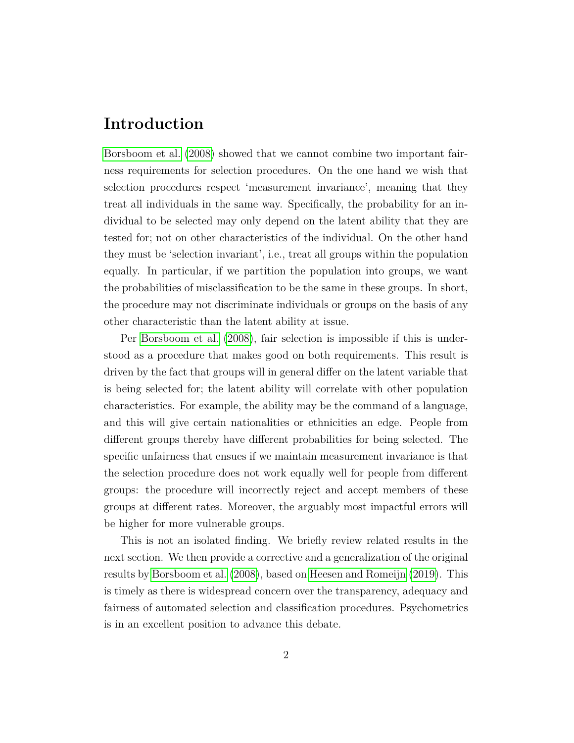# **Introduction**

[Borsboom et al.](#page-9-0) [\(2008\)](#page-9-0) showed that we cannot combine two important fairness requirements for selection procedures. On the one hand we wish that selection procedures respect 'measurement invariance', meaning that they treat all individuals in the same way. Specifically, the probability for an individual to be selected may only depend on the latent ability that they are tested for; not on other characteristics of the individual. On the other hand they must be 'selection invariant', i.e., treat all groups within the population equally. In particular, if we partition the population into groups, we want the probabilities of misclassification to be the same in these groups. In short, the procedure may not discriminate individuals or groups on the basis of any other characteristic than the latent ability at issue.

Per [Borsboom et al.](#page-9-0) [\(2008\)](#page-9-0), fair selection is impossible if this is understood as a procedure that makes good on both requirements. This result is driven by the fact that groups will in general differ on the latent variable that is being selected for; the latent ability will correlate with other population characteristics. For example, the ability may be the command of a language, and this will give certain nationalities or ethnicities an edge. People from different groups thereby have different probabilities for being selected. The specific unfairness that ensues if we maintain measurement invariance is that the selection procedure does not work equally well for people from different groups: the procedure will incorrectly reject and accept members of these groups at different rates. Moreover, the arguably most impactful errors will be higher for more vulnerable groups.

This is not an isolated finding. We briefly review related results in the next section. We then provide a corrective and a generalization of the original results by [Borsboom et al.](#page-9-0) [\(2008\)](#page-9-0), based on [Heesen and Romeijn](#page-10-0) [\(2019\)](#page-10-0). This is timely as there is widespread concern over the transparency, adequacy and fairness of automated selection and classification procedures. Psychometrics is in an excellent position to advance this debate.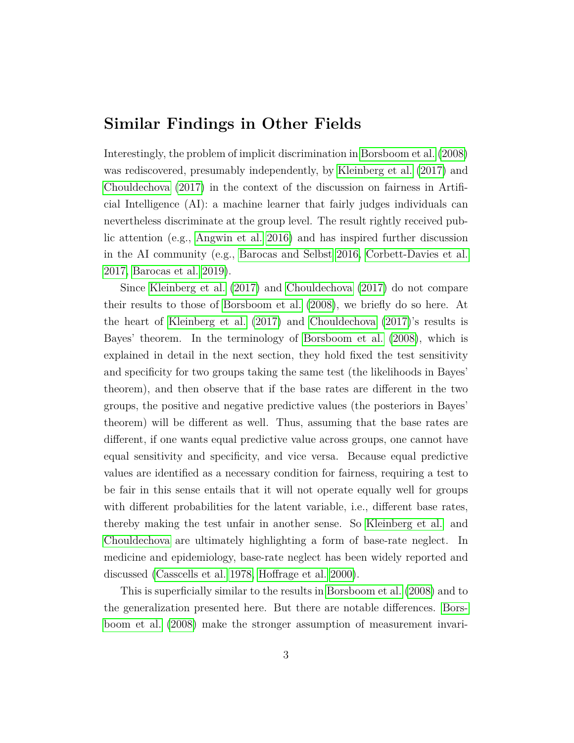# **Similar Findings in Other Fields**

Interestingly, the problem of implicit discrimination in [Borsboom et al.](#page-9-0) [\(2008\)](#page-9-0) was rediscovered, presumably independently, by [Kleinberg et al.](#page-10-1) [\(2017\)](#page-10-1) and [Chouldechova](#page-9-1) [\(2017\)](#page-9-1) in the context of the discussion on fairness in Artificial Intelligence (AI): a machine learner that fairly judges individuals can nevertheless discriminate at the group level. The result rightly received public attention (e.g., [Angwin et al. 2016\)](#page-9-2) and has inspired further discussion in the AI community (e.g., [Barocas and Selbst 2016,](#page-9-3) [Corbett-Davies et al.](#page-9-4) [2017,](#page-9-4) [Barocas et al. 2019\)](#page-9-5).

Since [Kleinberg et al.](#page-10-1) [\(2017\)](#page-10-1) and [Chouldechova](#page-9-1) [\(2017\)](#page-9-1) do not compare their results to those of [Borsboom et al.](#page-9-0) [\(2008\)](#page-9-0), we briefly do so here. At the heart of [Kleinberg et al.](#page-10-1) [\(2017\)](#page-10-1) and [Chouldechova](#page-9-1) [\(2017\)](#page-9-1)'s results is Bayes' theorem. In the terminology of [Borsboom et al.](#page-9-0) [\(2008\)](#page-9-0), which is explained in detail in the next section, they hold fixed the test sensitivity and specificity for two groups taking the same test (the likelihoods in Bayes' theorem), and then observe that if the base rates are different in the two groups, the positive and negative predictive values (the posteriors in Bayes' theorem) will be different as well. Thus, assuming that the base rates are different, if one wants equal predictive value across groups, one cannot have equal sensitivity and specificity, and vice versa. Because equal predictive values are identified as a necessary condition for fairness, requiring a test to be fair in this sense entails that it will not operate equally well for groups with different probabilities for the latent variable, i.e., different base rates, thereby making the test unfair in another sense. So [Kleinberg et al.](#page-10-1) and [Chouldechova](#page-9-1) are ultimately highlighting a form of base-rate neglect. In medicine and epidemiology, base-rate neglect has been widely reported and discussed [\(Casscells et al. 1978,](#page-9-6) [Hoffrage et al. 2000\)](#page-10-2).

This is superficially similar to the results in [Borsboom et al.](#page-9-0) [\(2008\)](#page-9-0) and to the generalization presented here. But there are notable differences. [Bors](#page-9-0)[boom et al.](#page-9-0) [\(2008\)](#page-9-0) make the stronger assumption of measurement invari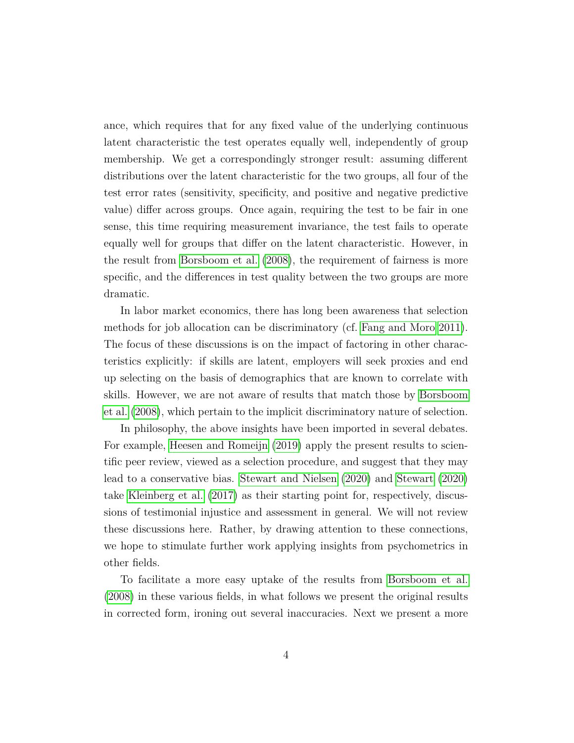ance, which requires that for any fixed value of the underlying continuous latent characteristic the test operates equally well, independently of group membership. We get a correspondingly stronger result: assuming different distributions over the latent characteristic for the two groups, all four of the test error rates (sensitivity, specificity, and positive and negative predictive value) differ across groups. Once again, requiring the test to be fair in one sense, this time requiring measurement invariance, the test fails to operate equally well for groups that differ on the latent characteristic. However, in the result from [Borsboom et al.](#page-9-0) [\(2008\)](#page-9-0), the requirement of fairness is more specific, and the differences in test quality between the two groups are more dramatic.

In labor market economics, there has long been awareness that selection methods for job allocation can be discriminatory (cf. [Fang and Moro 2011\)](#page-9-7). The focus of these discussions is on the impact of factoring in other characteristics explicitly: if skills are latent, employers will seek proxies and end up selecting on the basis of demographics that are known to correlate with skills. However, we are not aware of results that match those by [Borsboom](#page-9-0) [et al.](#page-9-0) [\(2008\)](#page-9-0), which pertain to the implicit discriminatory nature of selection.

In philosophy, the above insights have been imported in several debates. For example, [Heesen and Romeijn](#page-10-0) [\(2019\)](#page-10-0) apply the present results to scientific peer review, viewed as a selection procedure, and suggest that they may lead to a conservative bias. [Stewart and Nielsen](#page-10-3) [\(2020\)](#page-10-3) and [Stewart](#page-10-4) [\(2020\)](#page-10-4) take [Kleinberg et al.](#page-10-1) [\(2017\)](#page-10-1) as their starting point for, respectively, discussions of testimonial injustice and assessment in general. We will not review these discussions here. Rather, by drawing attention to these connections, we hope to stimulate further work applying insights from psychometrics in other fields.

To facilitate a more easy uptake of the results from [Borsboom et al.](#page-9-0) [\(2008\)](#page-9-0) in these various fields, in what follows we present the original results in corrected form, ironing out several inaccuracies. Next we present a more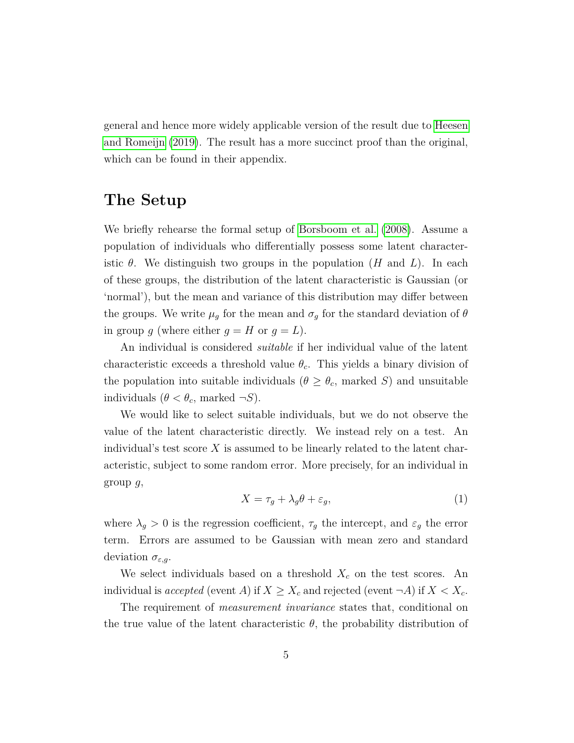general and hence more widely applicable version of the result due to [Heesen](#page-10-0) [and Romeijn](#page-10-0) [\(2019\)](#page-10-0). The result has a more succinct proof than the original, which can be found in their appendix.

# **The Setup**

We briefly rehearse the formal setup of [Borsboom et al.](#page-9-0) [\(2008\)](#page-9-0). Assume a population of individuals who differentially possess some latent characteristic  $\theta$ . We distinguish two groups in the population  $(H \text{ and } L)$ . In each of these groups, the distribution of the latent characteristic is Gaussian (or 'normal'), but the mean and variance of this distribution may differ between the groups. We write  $\mu_g$  for the mean and  $\sigma_g$  for the standard deviation of  $\theta$ in group *g* (where either  $g = H$  or  $g = L$ ).

An individual is considered *suitable* if her individual value of the latent characteristic exceeds a threshold value  $\theta_c$ . This yields a binary division of the population into suitable individuals ( $\theta \geq \theta_c$ , marked *S*) and unsuitable individuals  $(\theta < \theta_c$ , marked  $\neg S$ ).

We would like to select suitable individuals, but we do not observe the value of the latent characteristic directly. We instead rely on a test. An individual's test score *X* is assumed to be linearly related to the latent characteristic, subject to some random error. More precisely, for an individual in group *g*,

$$
X = \tau_g + \lambda_g \theta + \varepsilon_g,\tag{1}
$$

where  $\lambda_g > 0$  is the regression coefficient,  $\tau_g$  the intercept, and  $\varepsilon_g$  the error term. Errors are assumed to be Gaussian with mean zero and standard deviation *σε,g*.

We select individuals based on a threshold  $X_c$  on the test scores. An individual is *accepted* (event *A*) if  $X \ge X_c$  and rejected (event  $\neg A$ ) if  $X < X_c$ .

The requirement of *measurement invariance* states that, conditional on the true value of the latent characteristic  $\theta$ , the probability distribution of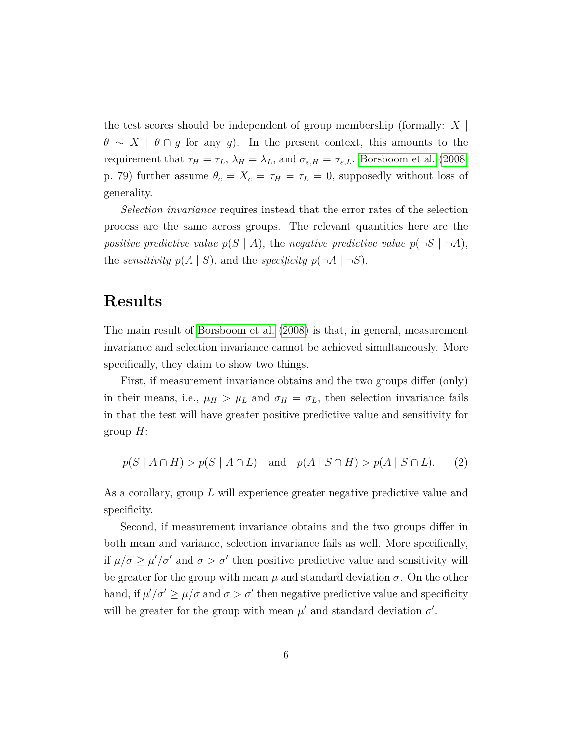the test scores should be independent of group membership (formally: *X* |  $\theta \sim X \mid \theta \cap g$  for any *g*). In the present context, this amounts to the requirement that  $\tau_H = \tau_L$ ,  $\lambda_H = \lambda_L$ , and  $\sigma_{\varepsilon,H} = \sigma_{\varepsilon,L}$ . [Borsboom et al.](#page-9-0) [\(2008,](#page-9-0) p. 79) further assume  $\theta_c = X_c = \tau_H = \tau_L = 0$ , supposedly without loss of generality.

*Selection invariance* requires instead that the error rates of the selection process are the same across groups. The relevant quantities here are the *positive predictive value*  $p(S | A)$ , the *negative predictive value*  $p(\neg S | \neg A)$ , the *sensitivity*  $p(A | S)$ , and the *specificity*  $p(\neg A | \neg S)$ .

# **Results**

The main result of [Borsboom et al.](#page-9-0) [\(2008\)](#page-9-0) is that, in general, measurement invariance and selection invariance cannot be achieved simultaneously. More specifically, they claim to show two things.

First, if measurement invariance obtains and the two groups differ (only) in their means, i.e.,  $\mu_H > \mu_L$  and  $\sigma_H = \sigma_L$ , then selection invariance fails in that the test will have greater positive predictive value and sensitivity for group *H*:

$$
p(S \mid A \cap H) > p(S \mid A \cap L) \quad \text{and} \quad p(A \mid S \cap H) > p(A \mid S \cap L). \tag{2}
$$

As a corollary, group *L* will experience greater negative predictive value and specificity.

Second, if measurement invariance obtains and the two groups differ in both mean and variance, selection invariance fails as well. More specifically, if  $\mu/\sigma \geq \mu'/\sigma'$  and  $\sigma > \sigma'$  then positive predictive value and sensitivity will be greater for the group with mean  $\mu$  and standard deviation  $\sigma$ . On the other hand, if  $\mu' / \sigma' \ge \mu / \sigma$  and  $\sigma > \sigma'$  then negative predictive value and specificity will be greater for the group with mean  $\mu'$  and standard deviation  $\sigma'$ .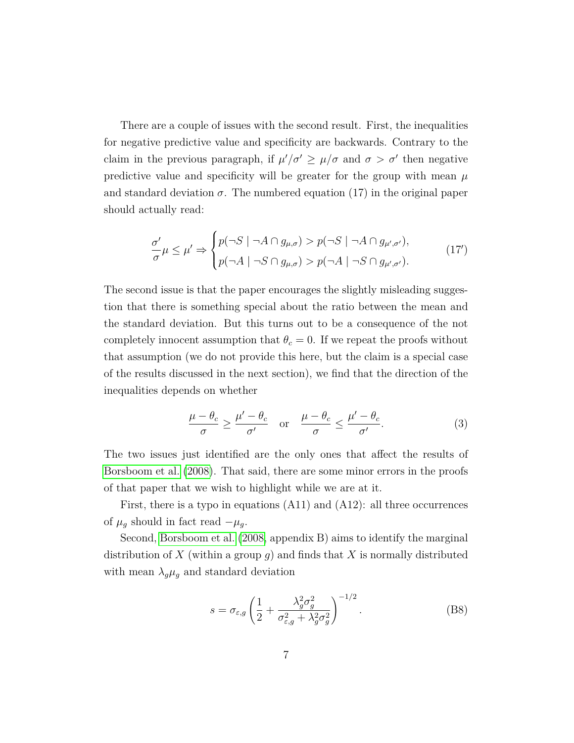There are a couple of issues with the second result. First, the inequalities for negative predictive value and specificity are backwards. Contrary to the claim in the previous paragraph, if  $\mu' / \sigma' \geq \mu / \sigma$  and  $\sigma > \sigma'$  then negative predictive value and specificity will be greater for the group with mean  $\mu$ and standard deviation  $\sigma$ . The numbered equation (17) in the original paper should actually read:

$$
\frac{\sigma'}{\sigma}\mu \le \mu' \Rightarrow \begin{cases} p(\neg S \mid \neg A \cap g_{\mu,\sigma}) > p(\neg S \mid \neg A \cap g_{\mu',\sigma'}), \\ p(\neg A \mid \neg S \cap g_{\mu,\sigma}) > p(\neg A \mid \neg S \cap g_{\mu',\sigma'}). \end{cases} (17')
$$

The second issue is that the paper encourages the slightly misleading suggestion that there is something special about the ratio between the mean and the standard deviation. But this turns out to be a consequence of the not completely innocent assumption that  $\theta_c = 0$ . If we repeat the proofs without that assumption (we do not provide this here, but the claim is a special case of the results discussed in the next section), we find that the direction of the inequalities depends on whether

$$
\frac{\mu - \theta_c}{\sigma} \ge \frac{\mu' - \theta_c}{\sigma'} \quad \text{or} \quad \frac{\mu - \theta_c}{\sigma} \le \frac{\mu' - \theta_c}{\sigma'}.
$$
 (3)

The two issues just identified are the only ones that affect the results of [Borsboom et al.](#page-9-0) [\(2008\)](#page-9-0). That said, there are some minor errors in the proofs of that paper that we wish to highlight while we are at it.

First, there is a typo in equations (A11) and (A12): all three occurrences of  $\mu_g$  should in fact read  $-\mu_g$ .

Second, [Borsboom et al.](#page-9-0) [\(2008,](#page-9-0) appendix B) aims to identify the marginal distribution of *X* (within a group *g*) and finds that *X* is normally distributed with mean  $\lambda_g \mu_g$  and standard deviation

$$
s = \sigma_{\varepsilon,g} \left( \frac{1}{2} + \frac{\lambda_g^2 \sigma_g^2}{\sigma_{\varepsilon,g}^2 + \lambda_g^2 \sigma_g^2} \right)^{-1/2}.
$$
 (B8)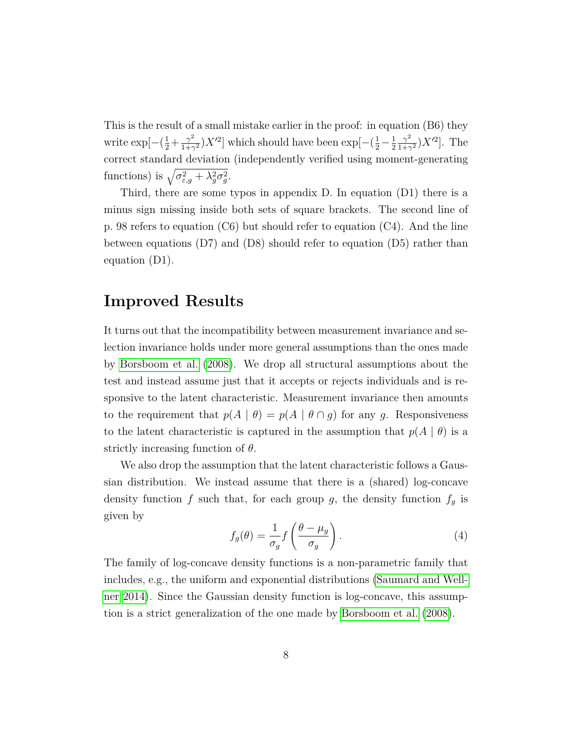This is the result of a small mistake earlier in the proof: in equation (B6) they write  $\exp[-(\frac{1}{2}+\frac{\gamma^2}{1+\gamma})]$  $\frac{\gamma^2}{1+\gamma^2}$ )*X*<sup>'2</sup>] which should have been exp $\left[-\left(\frac{1}{2} - \frac{1}{2}\right)\right]$ 2  $\gamma^2$  $\frac{\gamma^2}{1+\gamma^2}$ )*X*<sup>'2</sup>]. The correct standard deviation (independently verified using moment-generating functions) is  $\sqrt{\sigma_{\varepsilon,g}^2 + \lambda_g^2 \sigma_g^2}$ .

Third, there are some typos in appendix D. In equation (D1) there is a minus sign missing inside both sets of square brackets. The second line of p. 98 refers to equation (C6) but should refer to equation (C4). And the line between equations  $(D7)$  and  $(D8)$  should refer to equation  $(D5)$  rather than equation (D1).

### **Improved Results**

It turns out that the incompatibility between measurement invariance and selection invariance holds under more general assumptions than the ones made by [Borsboom et al.](#page-9-0) [\(2008\)](#page-9-0). We drop all structural assumptions about the test and instead assume just that it accepts or rejects individuals and is responsive to the latent characteristic. Measurement invariance then amounts to the requirement that  $p(A | \theta) = p(A | \theta \cap g)$  for any *g*. Responsiveness to the latent characteristic is captured in the assumption that  $p(A | \theta)$  is a strictly increasing function of *θ*.

We also drop the assumption that the latent characteristic follows a Gaussian distribution. We instead assume that there is a (shared) log-concave density function  $f$  such that, for each group  $g$ , the density function  $f_g$  is given by

$$
f_g(\theta) = \frac{1}{\sigma_g} f\left(\frac{\theta - \mu_g}{\sigma_g}\right). \tag{4}
$$

The family of log-concave density functions is a non-parametric family that includes, e.g., the uniform and exponential distributions [\(Saumard and Well](#page-10-5)[ner 2014\)](#page-10-5). Since the Gaussian density function is log-concave, this assumption is a strict generalization of the one made by [Borsboom et al.](#page-9-0) [\(2008\)](#page-9-0).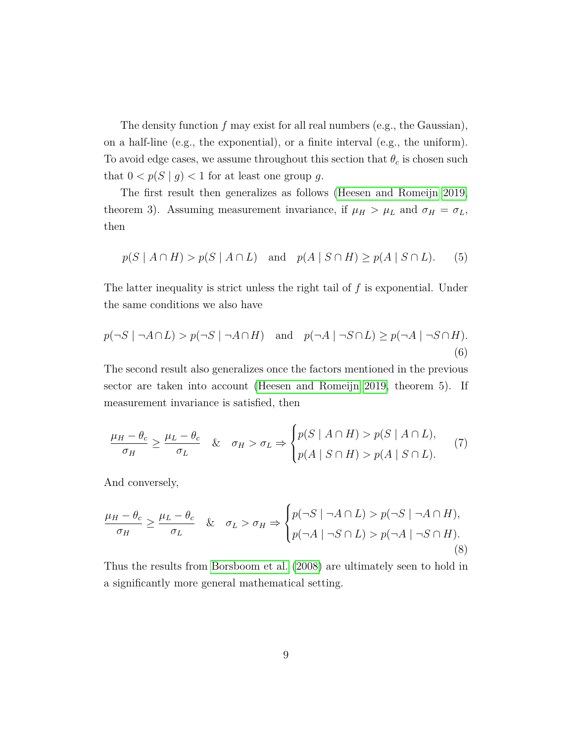The density function *f* may exist for all real numbers (e.g., the Gaussian), on a half-line (e.g., the exponential), or a finite interval (e.g., the uniform). To avoid edge cases, we assume throughout this section that  $\theta_c$  is chosen such that  $0 < p(S | g) < 1$  for at least one group *g*.

The first result then generalizes as follows [\(Heesen and Romeijn 2019,](#page-10-0) theorem 3). Assuming measurement invariance, if  $\mu_H > \mu_L$  and  $\sigma_H = \sigma_L$ , then

$$
p(S \mid A \cap H) > p(S \mid A \cap L) \quad \text{and} \quad p(A \mid S \cap H) \geq p(A \mid S \cap L). \tag{5}
$$

The latter inequality is strict unless the right tail of *f* is exponential. Under the same conditions we also have

$$
p(\neg S \mid \neg A \cap L) > p(\neg S \mid \neg A \cap H) \quad \text{and} \quad p(\neg A \mid \neg S \cap L) \ge p(\neg A \mid \neg S \cap H). \tag{6}
$$

The second result also generalizes once the factors mentioned in the previous sector are taken into account [\(Heesen and Romeijn 2019,](#page-10-0) theorem 5). If measurement invariance is satisfied, then

$$
\frac{\mu_H - \theta_c}{\sigma_H} \ge \frac{\mu_L - \theta_c}{\sigma_L} \quad & \sigma_H > \sigma_L \Rightarrow \begin{cases} p(S \mid A \cap H) > p(S \mid A \cap L), \\ p(A \mid S \cap H) > p(A \mid S \cap L). \end{cases} \tag{7}
$$

And conversely,

$$
\frac{\mu_H - \theta_c}{\sigma_H} \ge \frac{\mu_L - \theta_c}{\sigma_L} \quad & \sigma_L > \sigma_H \Rightarrow \begin{cases} p(\neg S \mid \neg A \cap L) > p(\neg S \mid \neg A \cap H), \\ p(\neg A \mid \neg S \cap L) > p(\neg A \mid \neg S \cap H). \end{cases} \tag{8}
$$

Thus the results from [Borsboom et al.](#page-9-0) [\(2008\)](#page-9-0) are ultimately seen to hold in a significantly more general mathematical setting.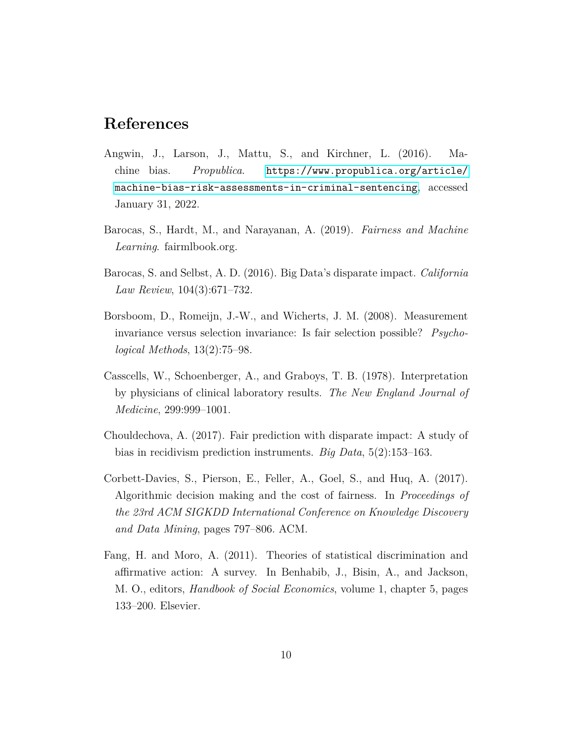# **References**

- <span id="page-9-2"></span>Angwin, J., Larson, J., Mattu, S., and Kirchner, L. (2016). Machine bias. *Propublica*. [https://www.propublica.org/article/](https://www.propublica.org/article/machine-bias-risk-assessments-in-criminal-sentencing) [machine-bias-risk-assessments-in-criminal-sentencing](https://www.propublica.org/article/machine-bias-risk-assessments-in-criminal-sentencing), accessed January 31, 2022.
- <span id="page-9-5"></span>Barocas, S., Hardt, M., and Narayanan, A. (2019). *Fairness and Machine Learning*. fairmlbook.org.
- <span id="page-9-3"></span>Barocas, S. and Selbst, A. D. (2016). Big Data's disparate impact. *California Law Review*, 104(3):671–732.
- <span id="page-9-0"></span>Borsboom, D., Romeijn, J.-W., and Wicherts, J. M. (2008). Measurement invariance versus selection invariance: Is fair selection possible? *Psychological Methods*, 13(2):75–98.
- <span id="page-9-6"></span>Casscells, W., Schoenberger, A., and Graboys, T. B. (1978). Interpretation by physicians of clinical laboratory results. *The New England Journal of Medicine*, 299:999–1001.
- <span id="page-9-1"></span>Chouldechova, A. (2017). Fair prediction with disparate impact: A study of bias in recidivism prediction instruments. *Big Data*, 5(2):153–163.
- <span id="page-9-4"></span>Corbett-Davies, S., Pierson, E., Feller, A., Goel, S., and Huq, A. (2017). Algorithmic decision making and the cost of fairness. In *Proceedings of the 23rd ACM SIGKDD International Conference on Knowledge Discovery and Data Mining*, pages 797–806. ACM.
- <span id="page-9-7"></span>Fang, H. and Moro, A. (2011). Theories of statistical discrimination and affirmative action: A survey. In Benhabib, J., Bisin, A., and Jackson, M. O., editors, *Handbook of Social Economics*, volume 1, chapter 5, pages 133–200. Elsevier.